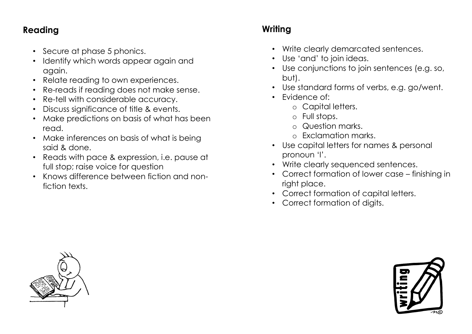### **Reading**

- Secure at phase 5 phonics.
- Identify which words appear again and again.
- Relate reading to own experiences.
- Re-reads if reading does not make sense.
- Re-tell with considerable accuracy.
- Discuss significance of title & events.
- Make predictions on basis of what has been read.
- Make inferences on basis of what is being said & done.
- Reads with pace & expression, i.e. pause at full stop; raise voice for question
- Knows difference between fiction and nonfiction texts.

## **Writing**

- Write clearly demarcated sentences.
- Use 'and' to join ideas.
- Use conjunctions to join sentences (e.g. so, but).
- Use standard forms of verbs, e.g. go/went.
- Evidence of:
	- o Capital letters.
	- o Full stops.
	- o Question marks.
	- o Exclamation marks.
- Use capital letters for names & personal pronoun 'I'.
- Write clearly sequenced sentences.
- Correct formation of lower case finishing in right place.
- Correct formation of capital letters.
- Correct formation of digits.